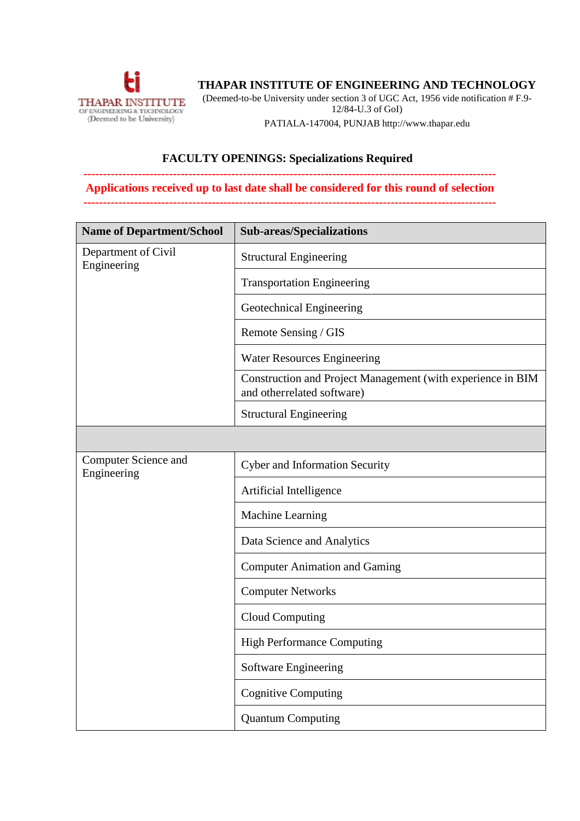

## **THAPAR INSTITUTE OF ENGINEERING AND TECHNOLOGY**

(Deemed-to-be University under section 3 of UGC Act, 1956 vide notification # F.9-

12/84-U.3 of GoI)

PATIALA-147004, PUNJAB http:[//www.thapar.edu](http://www.thapar.edu/)

## **FACULTY OPENINGS: Specializations Required**

## **---------------------------------------------------------------------------------------------------------- Applications received up to last date shall be considered for this round of selection**

**----------------------------------------------------------------------------------------------------------**

| <b>Name of Department/School</b>           | <b>Sub-areas/Specializations</b>                                                          |
|--------------------------------------------|-------------------------------------------------------------------------------------------|
| Department of Civil<br>Engineering         | <b>Structural Engineering</b>                                                             |
|                                            | <b>Transportation Engineering</b>                                                         |
|                                            | Geotechnical Engineering                                                                  |
|                                            | Remote Sensing / GIS                                                                      |
|                                            | <b>Water Resources Engineering</b>                                                        |
|                                            | Construction and Project Management (with experience in BIM<br>and otherrelated software) |
|                                            | <b>Structural Engineering</b>                                                             |
|                                            |                                                                                           |
| <b>Computer Science and</b><br>Engineering | <b>Cyber and Information Security</b>                                                     |
|                                            | Artificial Intelligence                                                                   |
|                                            | Machine Learning                                                                          |
|                                            | Data Science and Analytics                                                                |
|                                            | <b>Computer Animation and Gaming</b>                                                      |
|                                            | <b>Computer Networks</b>                                                                  |
|                                            | <b>Cloud Computing</b>                                                                    |
|                                            | <b>High Performance Computing</b>                                                         |
|                                            | Software Engineering                                                                      |
|                                            | <b>Cognitive Computing</b>                                                                |
|                                            | <b>Quantum Computing</b>                                                                  |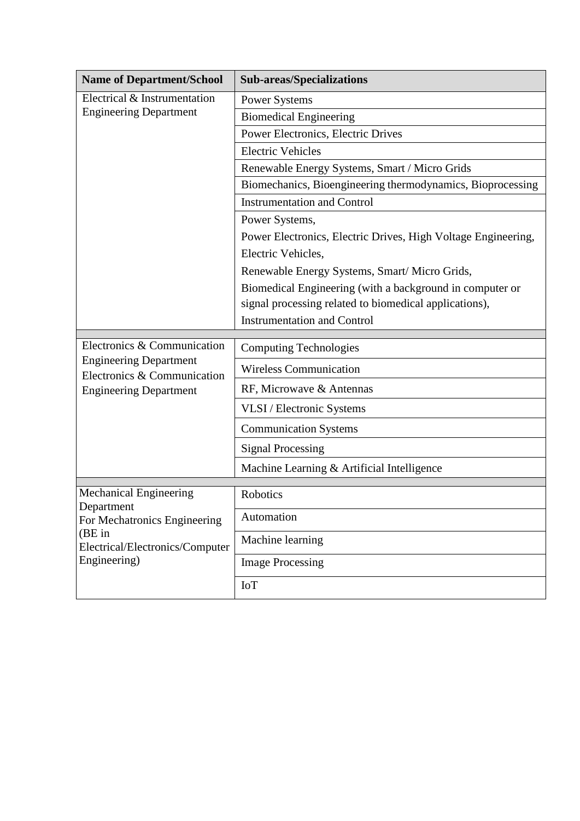| <b>Name of Department/School</b>                                                                                                    | <b>Sub-areas/Specializations</b>                              |
|-------------------------------------------------------------------------------------------------------------------------------------|---------------------------------------------------------------|
| Electrical & Instrumentation<br><b>Engineering Department</b>                                                                       | <b>Power Systems</b>                                          |
|                                                                                                                                     | <b>Biomedical Engineering</b>                                 |
|                                                                                                                                     | Power Electronics, Electric Drives                            |
|                                                                                                                                     | <b>Electric Vehicles</b>                                      |
|                                                                                                                                     | Renewable Energy Systems, Smart / Micro Grids                 |
|                                                                                                                                     | Biomechanics, Bioengineering thermodynamics, Bioprocessing    |
|                                                                                                                                     | <b>Instrumentation and Control</b>                            |
|                                                                                                                                     | Power Systems,                                                |
|                                                                                                                                     | Power Electronics, Electric Drives, High Voltage Engineering, |
|                                                                                                                                     | Electric Vehicles,                                            |
|                                                                                                                                     | Renewable Energy Systems, Smart/Micro Grids,                  |
|                                                                                                                                     | Biomedical Engineering (with a background in computer or      |
|                                                                                                                                     | signal processing related to biomedical applications),        |
|                                                                                                                                     | <b>Instrumentation and Control</b>                            |
| Electronics & Communication<br><b>Engineering Department</b><br>Electronics & Communication<br><b>Engineering Department</b>        | <b>Computing Technologies</b>                                 |
|                                                                                                                                     | <b>Wireless Communication</b>                                 |
|                                                                                                                                     | RF, Microwave & Antennas                                      |
|                                                                                                                                     | VLSI / Electronic Systems                                     |
|                                                                                                                                     | <b>Communication Systems</b>                                  |
|                                                                                                                                     | <b>Signal Processing</b>                                      |
|                                                                                                                                     | Machine Learning & Artificial Intelligence                    |
| Mechanical Engineering<br>Department<br>For Mechatronics Engineering<br>$(BE$ in<br>Electrical/Electronics/Computer<br>Engineering) | Robotics                                                      |
|                                                                                                                                     | Automation                                                    |
|                                                                                                                                     | Machine learning                                              |
|                                                                                                                                     | <b>Image Processing</b>                                       |
|                                                                                                                                     | <b>IoT</b>                                                    |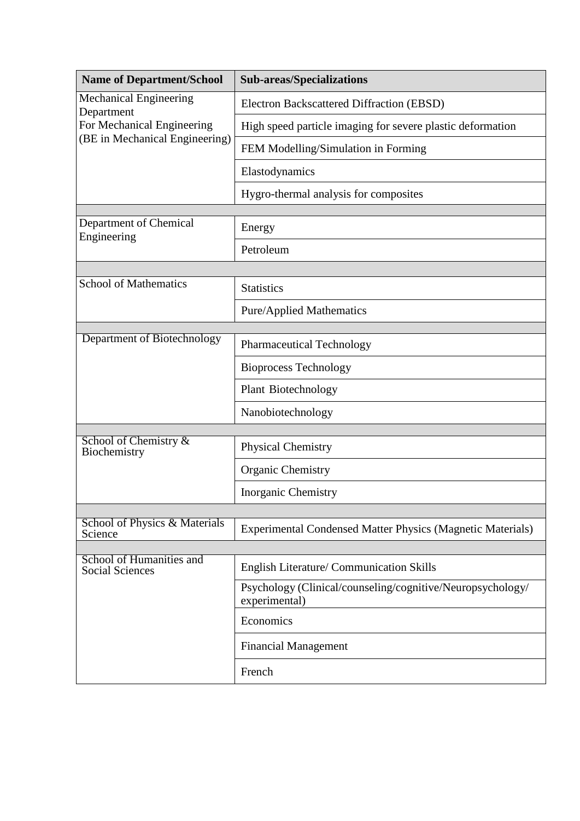| <b>Name of Department/School</b>                                                                            | <b>Sub-areas/Specializations</b>                                            |  |
|-------------------------------------------------------------------------------------------------------------|-----------------------------------------------------------------------------|--|
| <b>Mechanical Engineering</b><br>Department<br>For Mechanical Engineering<br>(BE in Mechanical Engineering) | Electron Backscattered Diffraction (EBSD)                                   |  |
|                                                                                                             | High speed particle imaging for severe plastic deformation                  |  |
|                                                                                                             | FEM Modelling/Simulation in Forming                                         |  |
|                                                                                                             | Elastodynamics                                                              |  |
|                                                                                                             | Hygro-thermal analysis for composites                                       |  |
| Department of Chemical<br>Engineering                                                                       |                                                                             |  |
|                                                                                                             | Energy                                                                      |  |
|                                                                                                             | Petroleum                                                                   |  |
|                                                                                                             |                                                                             |  |
| <b>School of Mathematics</b>                                                                                | <b>Statistics</b>                                                           |  |
|                                                                                                             | <b>Pure/Applied Mathematics</b>                                             |  |
| Department of Biotechnology                                                                                 |                                                                             |  |
|                                                                                                             | <b>Pharmaceutical Technology</b>                                            |  |
|                                                                                                             | <b>Bioprocess Technology</b>                                                |  |
|                                                                                                             | <b>Plant Biotechnology</b>                                                  |  |
|                                                                                                             | Nanobiotechnology                                                           |  |
| School of Chemistry &                                                                                       |                                                                             |  |
| Biochemistry                                                                                                | <b>Physical Chemistry</b>                                                   |  |
|                                                                                                             | <b>Organic Chemistry</b>                                                    |  |
|                                                                                                             | <b>Inorganic Chemistry</b>                                                  |  |
|                                                                                                             |                                                                             |  |
| School of Physics & Materials<br>Science                                                                    | <b>Experimental Condensed Matter Physics (Magnetic Materials)</b>           |  |
| School of Humanities and                                                                                    |                                                                             |  |
| <b>Social Sciences</b>                                                                                      | English Literature/ Communication Skills                                    |  |
|                                                                                                             | Psychology (Clinical/counseling/cognitive/Neuropsychology/<br>experimental) |  |
|                                                                                                             | Economics                                                                   |  |
|                                                                                                             | <b>Financial Management</b>                                                 |  |
|                                                                                                             | French                                                                      |  |